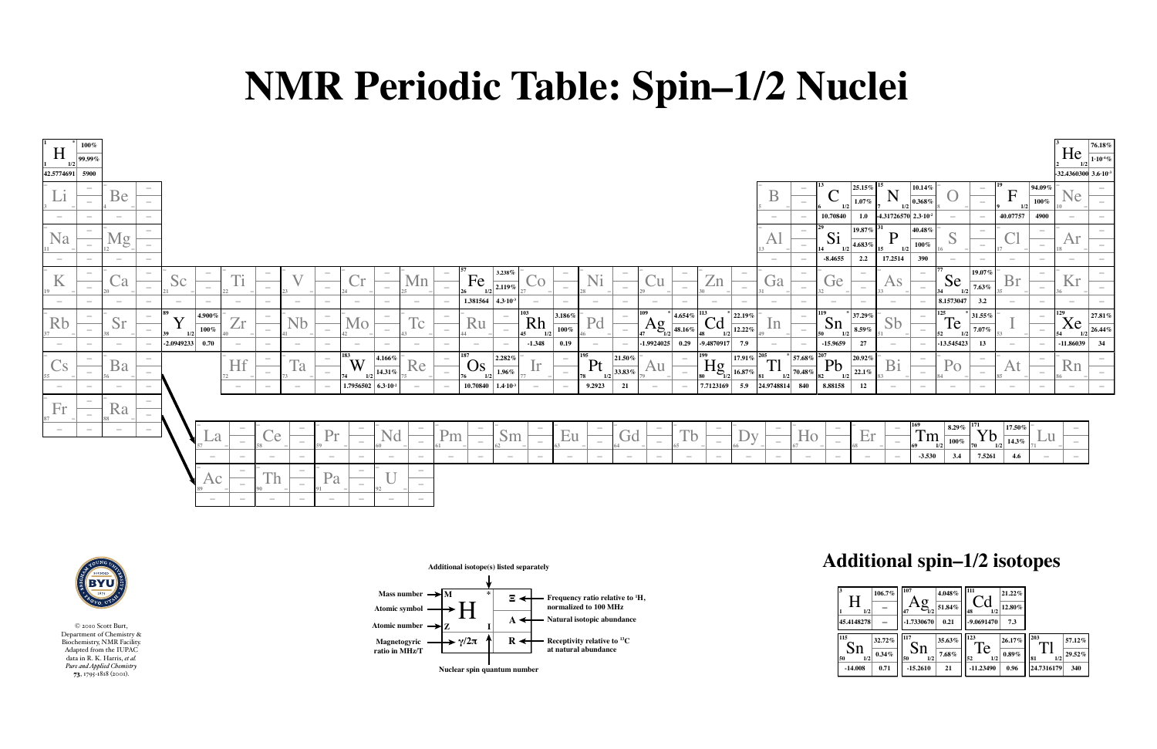## **NMR Periodic Table: Spin–1/2 Nuclei**

## **Additional spin–1/2 isotopes**

**Magnetogyric ratio in MHz/T**





**Additional isotope(s) listed separately**

**Nuclear spin quantum number**

**Atomic symbol**

Atomic number  $\rightarrow$  7

| $\overline{\mathbf{3}}$<br>1<br>1/2<br>45.4148278 | 106.7%                  | 107<br>4.048%<br>$\sigma$<br>51.84%<br>1/2<br>47<br>$-1.7330670$<br>0.21     | 111<br>21.22%<br>12.80%<br>48<br>1/2<br>$-9.0691470$<br>7.3                |                                                           |
|---------------------------------------------------|-------------------------|------------------------------------------------------------------------------|----------------------------------------------------------------------------|-----------------------------------------------------------|
| 115<br>$\mathbf{S}$<br>50<br>1/2<br>$-14.008$     | 32.72%<br>0.34%<br>0.71 | 117<br>35.63%<br>$\mathbf{S}$ n<br>$7.68\%$<br>1/2<br>50<br>$-15.2610$<br>21 | 123<br>26.17%<br><b>Te</b><br>$0.89\%$<br>52<br>1/2<br>$-11.23490$<br>0.96 | 203<br>57.12%<br>29.52%<br>81<br>1/2<br>24.7316179<br>340 |



© 2010 Scott Burt, Department of Chemistry & Biochemistry, NMR Facility. Adapted from the IUPAC data in R. K. Harris, *et al. Pure and Applied Chemistry* 73, 1795-1818 (2001).

Mass number  $\rightarrow M$ 

| H                                                 | $100\%$                            |                                   |                                                                            |                              |                            |                                                             |                            |                                    |                                                         |                                                             |                          |                                       |                                                      |                                    |                                                      |                                   |                          |                                                   |                                                                           |                                                                                   |                                         |                                                      |                                     |                                                    |                                                      |                                          |                                                                         |                                                |                                              | $ 76.18\% $<br>$He_{12} \frac{1.10^{4} \%}{1.10^{4} \%}$ |
|---------------------------------------------------|------------------------------------|-----------------------------------|----------------------------------------------------------------------------|------------------------------|----------------------------|-------------------------------------------------------------|----------------------------|------------------------------------|---------------------------------------------------------|-------------------------------------------------------------|--------------------------|---------------------------------------|------------------------------------------------------|------------------------------------|------------------------------------------------------|-----------------------------------|--------------------------|---------------------------------------------------|---------------------------------------------------------------------------|-----------------------------------------------------------------------------------|-----------------------------------------|------------------------------------------------------|-------------------------------------|----------------------------------------------------|------------------------------------------------------|------------------------------------------|-------------------------------------------------------------------------|------------------------------------------------|----------------------------------------------|----------------------------------------------------------|
|                                                   | $\frac{1}{2}$ 99.99%               |                                   |                                                                            |                              |                            |                                                             |                            |                                    |                                                         |                                                             |                          |                                       |                                                      |                                    |                                                      |                                   |                          |                                                   |                                                                           |                                                                                   |                                         |                                                      |                                     |                                                    |                                                      |                                          |                                                                         |                                                |                                              |                                                          |
| $\begin{vmatrix} 42.5774691 & 5900 \end{vmatrix}$ |                                    |                                   |                                                                            |                              |                            |                                                             |                            |                                    |                                                         |                                                             |                          |                                       |                                                      |                                    |                                                      |                                   |                          |                                                   |                                                                           |                                                                                   |                                         |                                                      |                                     |                                                    |                                                      |                                          |                                                                         |                                                |                                              | $-32.4360300$ $3.6 \cdot 10^{-3}$                        |
|                                                   | <b>Contract Contract</b><br>$\sim$ | Be                                | <b>Contract Contract</b><br>$\overline{\phantom{a}}$                       |                              |                            |                                                             |                            |                                    |                                                         |                                                             |                          |                                       |                                                      |                                    |                                                      |                                   |                          |                                                   |                                                                           |                                                                                   |                                         |                                                      | $25.15\%$ <sup>15</sup><br>$1.07\%$ | N<br>$\mathbf{T}$<br>$1\!\!1/2$                    | $\vert$ 10.14%<br>$\vert$ 0.368 $\%$                 |                                          |                                                                         |                                                | $ 94.09\% $<br>$100\%$                       | $\sim$<br>$\blacksquare$<br>$\sim$                       |
|                                                   | <b>Contract Contract</b>           | $\sim$                            | $\hspace{0.1mm}-\hspace{0.1mm}$                                            |                              |                            |                                                             |                            |                                    |                                                         |                                                             |                          |                                       |                                                      |                                    |                                                      |                                   |                          |                                                   |                                                                           | $\sim$                                                                            | $\hspace{0.1mm}-\hspace{0.1mm}$         | 10.70840                                             |                                     | 1.0 $\left 4.31726570\right $ 2.3.10 <sup>-2</sup> |                                                      |                                          | $\hspace{0.1mm}-\hspace{0.1mm}$                                         | 40.07757                                       | 4900                                         | $\sim$                                                   |
| Na                                                | $\overline{\phantom{a}}$<br>$\sim$ |                                   | $\sim$<br>$\sim$                                                           |                              |                            |                                                             |                            |                                    |                                                         |                                                             |                          |                                       |                                                      |                                    |                                                      |                                   |                          |                                                   |                                                                           |                                                                                   | $\hspace{0.1mm}-\hspace{0.1mm}$         | Si<br> 14 <br>1/2                                    | $\vert$ 19.87% $\vert$<br>4.683%    | 1/2                                                | $ 40.48\%$<br>$100\%$                                |                                          |                                                                         |                                                | $\sim$<br>$\overline{\phantom{a}}$           | $\sim$<br>$\sim$                                         |
|                                                   | <b>Contract Contract</b>           | <b>Contract Contract Contract</b> | <b>Contract Contract</b>                                                   |                              |                            |                                                             |                            |                                    |                                                         |                                                             |                          |                                       |                                                      |                                    |                                                      |                                   |                          |                                                   |                                                                           | $\sim$                                                                            | $\sim$                                  | $-8.4655$                                            | 2.2                                 | 17.2514                                            | 390                                                  | $\overline{\phantom{a}}$                 | $\overline{\phantom{a}}$                                                |                                                | <b>Contract Contract Contract</b>            | $\sim$<br><b>Contract Contract</b>                       |
|                                                   | <b>Contract Contract</b><br>$\sim$ |                                   | $\overline{\mathcal{L}}$<br>$\overline{\phantom{a}}$                       |                              |                            | $\overline{\phantom{a}}$                                    |                            | $\sim$<br>$\overline{\phantom{a}}$ |                                                         | Mn                                                          |                          | Fe                                    | $3.238\%$<br>$\frac{1}{2.119\%}$                     | $\hspace{0.1mm}$                   |                                                      |                                   |                          |                                                   | $\overline{\phantom{a}}$<br>$\overline{\phantom{m}}$                      | <b>CA</b>                                                                         | $\sim$                                  | Ge                                                   |                                     |                                                    | $\sim$<br>$\overline{\phantom{m}}$                   | Se                                       | $ 19.07\% $<br>7.63%                                                    |                                                | $\overline{\phantom{a}}$<br>$\sim$           | $\sim$<br>TZT<br>$\sim$                                  |
|                                                   | $\sim$                             | $\overline{\phantom{a}}$          | $\sim$<br>$\sim$                                                           | $\sim$                       | <b>Contract Contract</b>   | $\sim$                                                      |                            | $\sim$                             | $\overline{\phantom{a}}$<br><b>Contract Contract</b>    | $\sim$                                                      | $\overline{\phantom{a}}$ | 1.381564 4.3 $\cdot$ 10 <sup>-3</sup> | $\sim$                                               | $\sim$                             | $\sim$                                               | $\sim$                            | $\sim$                   | $\overline{\phantom{a}}$                          | $\sim$                                                                    | $\sim$                                                                            | $\sim$                                  | $\sim$                                               | $\sim$                              | $\sim$                                             | $\sim$                                               | 8.1573047                                | 3.2                                                                     |                                                | $\overline{\phantom{a}}$                     | $\sim$                                                   |
| Rb                                                | $\overline{\phantom{a}}$<br>$\sim$ | Sr                                | $\hspace{0.1mm}-\hspace{0.1mm}$<br>$\hspace{0.1mm}-\hspace{0.1mm}$<br>  30 | $ 4.900\%$<br>$100\%$<br>1/2 |                            | $\overline{\phantom{a}}$<br>$\hspace{0.1mm}-\hspace{0.1mm}$ |                            | $\sim$<br>$\sim$                   | $\sim$<br><b>NO</b><br>$\overline{\phantom{a}}$         | $\Box$<br>1c                                                |                          | <b>KU</b>                             | $\sim$<br>Rh<br>$\sim$<br>$\overline{45}$            | 3.186%<br>$100\%$                  |                                                      | $\sim$<br>$\hspace{0.1mm}$        | 109<br>$\sum_{1/2}$      | $\frac{1}{2}$ 4.654% $\boxed{113}$<br>$ 48.16\% $ | $\left  \frac{1}{22.19\%} \right $<br>Cd<br>$12.22\%$<br>1/2<br><b>48</b> |                                                                                   | $\overline{\phantom{0}}$                | Sn<br>50<br>1/2                                      | 37.29%<br>$8.59\%$                  |                                                    | $\hspace{0.1mm}$<br>$\overline{\phantom{m}}$         | 125<br>$\blacksquare$<br>Te<br>52<br>1/2 | $\left\lceil \left\lvert 31.55\% \right\rvert \right\rceil$<br>$7.07\%$ |                                                | $\hspace{0.1mm}$<br>$\overline{\phantom{a}}$ | $\vert$ 27.81% $\vert$<br>Xe<br>$ 26.44\% $              |
|                                                   |                                    |                                   |                                                                            | $-2.0949233$ 0.70            |                            |                                                             |                            |                                    |                                                         |                                                             |                          |                                       | $-1.348$                                             | 0.19                               |                                                      |                                   |                          |                                                   | $-1.9924025$ 0.29 $-9.4870917$ 7.9                                        |                                                                                   |                                         | $-15.9659$                                           | 27                                  |                                                    |                                                      | $\left  -13.545423 \right $              | 13                                                                      |                                                |                                              | $-11.86039$ 34                                           |
| $\sim$                                            | $\sim$<br>$\overline{\phantom{m}}$ | Ba                                | $\sim$<br>$\hspace{0.1mm}-\hspace{0.1mm}$                                  |                              | Hf                         | $\hspace{0.1mm}-\hspace{0.1mm}$<br>$\overline{\phantom{a}}$ | l a                        | $\sim$<br>$\hspace{0.1mm}$         | 183<br>$ 4.166\% $<br>W<br>$\frac{1}{2}$ 14.31%  <br>74 | Re                                                          | $\overline{\phantom{a}}$ | 187<br>Os<br>1/2<br>76                | $ 2.282\%$<br>$\frac{1}{1.96\%}$                     | $\sim$<br>$\overline{\phantom{m}}$ | Pt                                                   | $21.50\%$<br>$\frac{1}{2}$ 33.83% |                          | $\sim$<br>$\overline{\phantom{a}}$                | $17.91\%$ <sup>205</sup><br>$\prod_{\mathbf{g}_{12}}$<br>$16.87\%$        | Tl<br>$\degree$ 181<br>1/2                                                        | $\frac{1}{2}$ 57.68% $207$<br>$70.48\%$ | Pb<br>82<br>1/2                                      | $ 20.92\% $<br>$\frac{1}{22.1\%}$   | Bi<br>83                                           | $\overline{\phantom{a}}$<br>$\overline{\phantom{0}}$ | Po                                       | $\hspace{0.1mm}$                                                        |                                                | $\sim$<br>$\overline{\phantom{a}}$           | $\sim$<br>Kn<br>$\sim$                                   |
| $\sim$                                            | $\sim$                             | $\sim$                            | $\sim$                                                                     |                              | $\sim$                     | $\sim$                                                      | $\sim$                     |                                    | $-$   1.7956502   6.3·10 <sup>-2</sup>                  | $\hspace{0.1mm}-\hspace{0.1mm}$                             |                          | $10.70840$   $1.4 \cdot 10^{-3}$      | $\sim$                                               | $\sim$                             | 9.2923                                               | 21                                | $\overline{\phantom{a}}$ | $\sim$                                            | $7.7123169$                                                               | $\begin{array}{ c c c c c c } \hline 5.9 & 24.9748814 & 840 \ \hline \end{array}$ |                                         | 8.88158                                              | 12                                  | $\sim$                                             | $\sim$                                               | $\sim$                                   | $\sim$                                                                  | $\sim$                                         | $\sim$                                       | $\sim$<br><b>Contract Contract</b>                       |
| $\blacksquare$<br>$H^{\bullet}$                   | $\sim$<br>$\overline{\phantom{a}}$ | Ra                                | $\overline{\phantom{a}}$<br>$\sim$                                         |                              |                            |                                                             |                            |                                    |                                                         |                                                             |                          |                                       |                                                      |                                    |                                                      |                                   |                          |                                                   |                                                                           |                                                                                   |                                         |                                                      |                                     |                                                    |                                                      |                                          |                                                                         |                                                |                                              |                                                          |
| $\sim$                                            | <b>Contract Contract</b>           | $\sim$                            | $\sim$                                                                     | La                           | $\overline{\phantom{a}}$   | Ce                                                          | $\sim$                     | Pr                                 | Nd<br>$\overline{\phantom{a}}$                          | $\overline{\phantom{a}}$<br>$\hspace{0.1mm}-\hspace{0.1mm}$ | Pm                       | $\sim$                                | $\sim$<br>$\mathbf{S}$ m<br>$\overline{\phantom{a}}$ | $\Box$<br>Eu                       | $\overline{\phantom{a}}$<br>$\overline{\phantom{a}}$ | <b>Gd</b>                         | $\overline{\phantom{a}}$ | Tb                                                | $\overline{\phantom{a}}$                                                  | $\sim$<br>$\overline{\phantom{a}}$                                                | H0                                      | $\overline{\phantom{a}}$<br>$\overline{\phantom{a}}$ | Hr<br><u>Lat</u>                    | $\overline{\phantom{a}}$                           | Im                                                   | $\vert 8.29\% \vert$<br>$100\%$          | Yb                                                                      | $17.50\%$<br>$\frac{1}{2}$ 14.3% $\frac{1}{2}$ | $\sqcup \sqcup$                              |                                                          |
|                                                   |                                    |                                   |                                                                            | $\sim$                       | $\sim$                     | $\sim$                                                      | $\overline{\phantom{a}}$   | $\sim$                             | $\sim$<br>$\sim$                                        | $\overline{\phantom{a}}$                                    | $\sim$                   | $\sim$                                | $\sim$<br>$\overline{\phantom{a}}$                   | $\sim$                             | $\overline{\phantom{0}}$                             | $\sim$                            | $\sim$                   | $\overline{\phantom{a}}$                          | $\sim$<br>$\sim$                                                          | $\sim$                                                                            | $\sim$                                  | $\sim$                                               | $\sim$                              | $\sim$                                             | $-3.530$                                             | 3.4                                      | 7.5261                                                                  | 4.6                                            |                                              | $\overline{\phantom{0}}$                                 |
|                                                   |                                    |                                   |                                                                            | Ac<br>$\sim$                 | $\sim$<br>$\sim$<br>$\sim$ | <u>I n</u><br>$\sim$                                        | $\sim$<br>$\sim$<br>$\sim$ | Pa<br><b>Contract Contract</b>     | $\sim$<br>$\overline{\phantom{a}}$<br>$\sim$<br>$\sim$  | $\overline{\phantom{0}}$<br>$\sim$<br>$\sim$                |                          |                                       |                                                      |                                    |                                                      |                                   |                          |                                                   |                                                                           |                                                                                   |                                         |                                                      |                                     |                                                    |                                                      |                                          |                                                                         |                                                |                                              |                                                          |